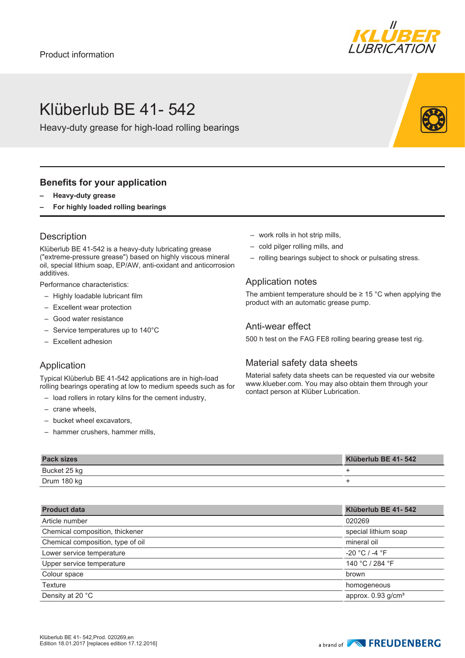

## Klüberlub BE 41- 542

Heavy-duty grease for high-load rolling bearings

#### **Benefits for your application**

- **– Heavy-duty grease**
- **– For highly loaded rolling bearings**

### **Description**

Klüberlub BE 41-542 is a heavy-duty lubricating grease ("extreme-pressure grease") based on highly viscous mineral oil, special lithium soap, EP/AW, anti-oxidant and anticorrosion additives.

Performance characteristics:

- Highly loadable lubricant film
- Excellent wear protection
- Good water resistance
- Service temperatures up to 140°C
- Excellent adhesion

#### Application

Typical Klüberlub BE 41-542 applications are in high-load rolling bearings operating at low to medium speeds such as for

- load rollers in rotary kilns for the cement industry,
- crane wheels,
- bucket wheel excavators,
- hammer crushers, hammer mills,
- work rolls in hot strip mills,
- cold pilger rolling mills, and
- rolling bearings subject to shock or pulsating stress.

#### Application notes

The ambient temperature should be  $\geq 15$  °C when applying the product with an automatic grease pump.

#### Anti-wear effect

500 h test on the FAG FE8 rolling bearing grease test rig.

#### Material safety data sheets

Material safety data sheets can be requested via our website www.klueber.com. You may also obtain them through your contact person at Klüber Lubrication.

| <b>Pack sizes</b> | Klüberlub BE 41-542 |
|-------------------|---------------------|
| Bucket 25 kg      |                     |
| Drum 180 kg       |                     |

| <b>Product data</b>               | Klüberlub BE 41-542              |
|-----------------------------------|----------------------------------|
| Article number                    | 020269                           |
| Chemical composition, thickener   | special lithium soap             |
| Chemical composition, type of oil | mineral oil                      |
| Lower service temperature         | $-20 °C / -4 °F$                 |
| Upper service temperature         | 140 °C / 284 °F                  |
| Colour space                      | brown                            |
| Texture                           | homogeneous                      |
| Density at 20 °C                  | approx. $0.93$ g/cm <sup>3</sup> |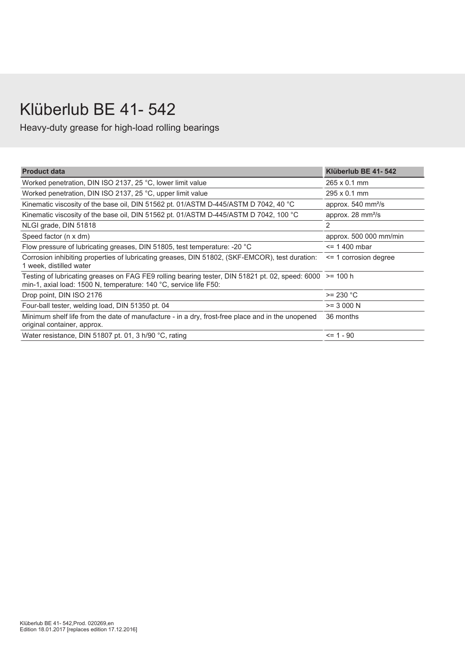# Klüberlub BE 41- 542

Heavy-duty grease for high-load rolling bearings

| <b>Product data</b>                                                                                                                                                           | Klüberlub BE 41-542                |
|-------------------------------------------------------------------------------------------------------------------------------------------------------------------------------|------------------------------------|
| Worked penetration, DIN ISO 2137, 25 °C, lower limit value                                                                                                                    | $265 \times 0.1$ mm                |
| Worked penetration, DIN ISO 2137, 25 °C, upper limit value                                                                                                                    | $295 \times 0.1$ mm                |
| Kinematic viscosity of the base oil, DIN 51562 pt. 01/ASTM D-445/ASTM D 7042, 40 °C                                                                                           | approx. 540 mm <sup>2</sup> /s     |
| Kinematic viscosity of the base oil, DIN 51562 pt. 01/ASTM D-445/ASTM D 7042, 100 °C                                                                                          | approx. $28 \text{ mm}^2\text{/s}$ |
| NLGI grade, DIN 51818                                                                                                                                                         | 2                                  |
| Speed factor (n x dm)                                                                                                                                                         | approx. 500 000 mm/min             |
| Flow pressure of lubricating greases, DIN 51805, test temperature: -20 °C                                                                                                     | $\le$ = 1.400 mbar                 |
| Corrosion inhibiting properties of lubricating greases, DIN 51802, (SKF-EMCOR), test duration:<br>1 week, distilled water                                                     | $\le$ 1 corrosion degree           |
| Testing of lubricating greases on FAG FE9 rolling bearing tester, DIN 51821 pt. 02, speed: 6000 >= 100 h<br>min-1, axial load: 1500 N, temperature: 140 °C, service life F50: |                                    |
| Drop point, DIN ISO 2176                                                                                                                                                      | $>= 230 °C$                        |
| Four-ball tester, welding load, DIN 51350 pt. 04                                                                                                                              | $>= 3000 N$                        |
| Minimum shelf life from the date of manufacture - in a dry, frost-free place and in the unopened<br>original container, approx.                                               | 36 months                          |
| Water resistance, DIN 51807 pt. 01, 3 h/90 °C, rating                                                                                                                         | $= 1 - 90$                         |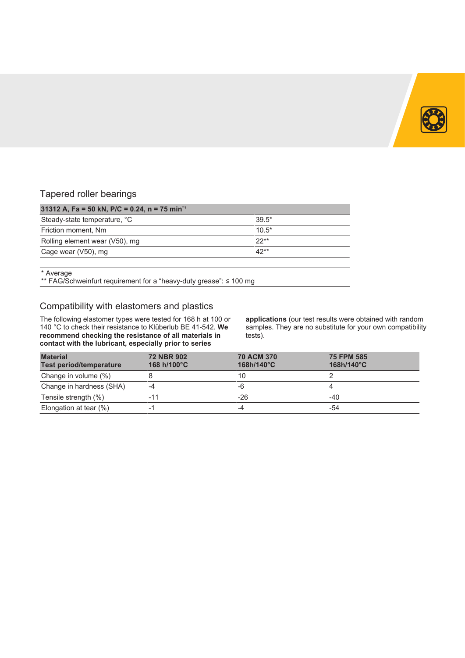

### Tapered roller bearings

| 31312 A, Fa = 50 kN, P/C = 0.24, n = 75 min <sup>-1</sup> |         |  |  |  |  |  |  |  |  |  |  |
|-----------------------------------------------------------|---------|--|--|--|--|--|--|--|--|--|--|
| Steady-state temperature, °C                              | $39.5*$ |  |  |  |  |  |  |  |  |  |  |
| Friction moment, Nm                                       | $10.5*$ |  |  |  |  |  |  |  |  |  |  |
| Rolling element wear (V50), mg                            | $22**$  |  |  |  |  |  |  |  |  |  |  |
| Cage wear (V50), mg                                       | $42**$  |  |  |  |  |  |  |  |  |  |  |

\* Average

\*\* FAG/Schweinfurt requirement for a "heavy-duty grease": ≤ 100 mg

### Compatibility with elastomers and plastics

The following elastomer types were tested for 168 h at 100 or 140 °C to check their resistance to Klüberlub BE 41-542. **We recommend checking the resistance of all materials in contact with the lubricant, especially prior to series**

**applications** (our test results were obtained with random samples. They are no substitute for your own compatibility tests).

| <b>Material</b><br><b>Test period/temperature</b> | <b>72 NBR 902</b><br>168 h/100°C | <b>70 ACM 370</b><br>$168h/140^{\circ}$ C | <b>75 FPM 585</b><br>$168h/140^{\circ}$ C |
|---------------------------------------------------|----------------------------------|-------------------------------------------|-------------------------------------------|
| Change in volume (%)                              |                                  | 10                                        |                                           |
| Change in hardness (SHA)                          | -4                               | -6                                        |                                           |
| Tensile strength (%)                              | -11                              | -26                                       | -40                                       |
| Elongation at tear (%)                            | -1                               |                                           | -54                                       |